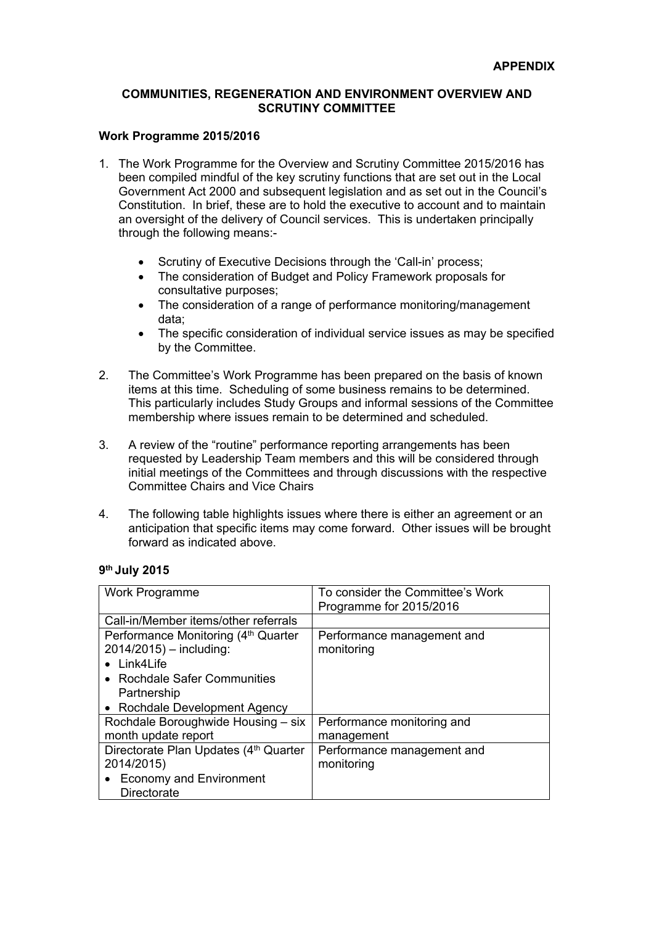### **COMMUNITIES, REGENERATION AND ENVIRONMENT OVERVIEW AND SCRUTINY COMMITTEE**

#### **Work Programme 2015/2016**

- 1. The Work Programme for the Overview and Scrutiny Committee 2015/2016 has been compiled mindful of the key scrutiny functions that are set out in the Local Government Act 2000 and subsequent legislation and as set out in the Council's Constitution. In brief, these are to hold the executive to account and to maintain an oversight of the delivery of Council services. This is undertaken principally through the following means:-
	- Scrutiny of Executive Decisions through the 'Call-in' process;
	- The consideration of Budget and Policy Framework proposals for consultative purposes;
	- The consideration of a range of performance monitoring/management data;
	- The specific consideration of individual service issues as may be specified by the Committee.
- 2. The Committee's Work Programme has been prepared on the basis of known items at this time. Scheduling of some business remains to be determined. This particularly includes Study Groups and informal sessions of the Committee membership where issues remain to be determined and scheduled.
- 3. A review of the "routine" performance reporting arrangements has been requested by Leadership Team members and this will be considered through initial meetings of the Committees and through discussions with the respective Committee Chairs and Vice Chairs
- 4. The following table highlights issues where there is either an agreement or an anticipation that specific items may come forward. Other issues will be brought forward as indicated above.

#### **9 th July 2015**

| Work Programme                        | To consider the Committee's Work |
|---------------------------------------|----------------------------------|
|                                       | Programme for 2015/2016          |
| Call-in/Member items/other referrals  |                                  |
| Performance Monitoring (4th Quarter   | Performance management and       |
| $2014/2015$ ) – including:            | monitoring                       |
| • Link4Life                           |                                  |
| • Rochdale Safer Communities          |                                  |
| Partnership                           |                                  |
| • Rochdale Development Agency         |                                  |
| Rochdale Boroughwide Housing - six    | Performance monitoring and       |
| month update report                   | management                       |
| Directorate Plan Updates (4th Quarter | Performance management and       |
| 2014/2015)                            | monitoring                       |
| • Economy and Environment             |                                  |
| Directorate                           |                                  |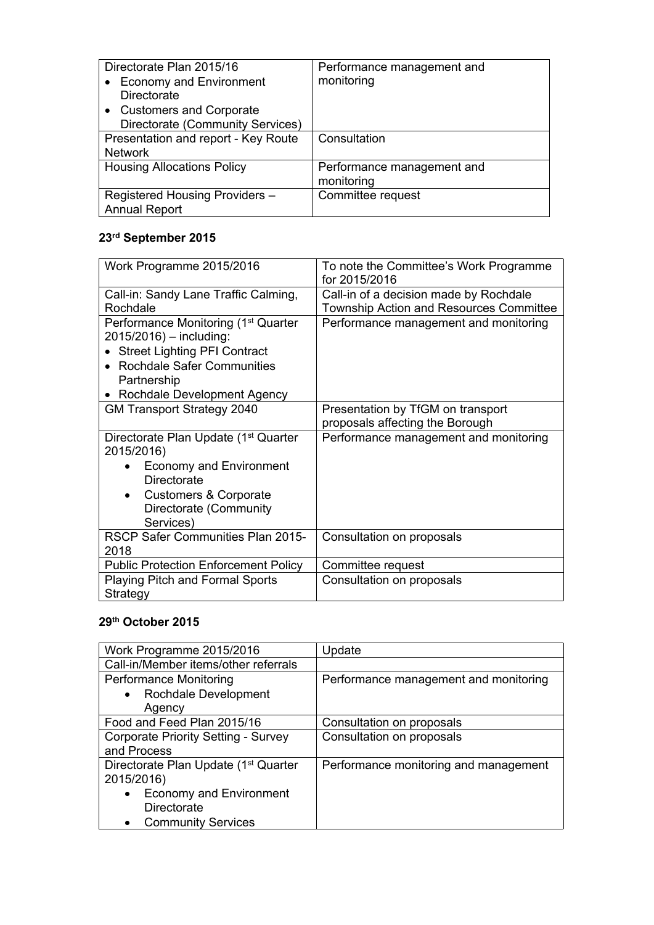| Directorate Plan 2015/16            | Performance management and |
|-------------------------------------|----------------------------|
| <b>Economy and Environment</b>      | monitoring                 |
| <b>Directorate</b>                  |                            |
| • Customers and Corporate           |                            |
| Directorate (Community Services)    |                            |
| Presentation and report - Key Route | Consultation               |
| <b>Network</b>                      |                            |
| <b>Housing Allocations Policy</b>   | Performance management and |
|                                     | monitoring                 |
| Registered Housing Providers -      | Committee request          |
| <b>Annual Report</b>                |                            |

# **23rd September 2015**

| Work Programme 2015/2016                                       | To note the Committee's Work Programme<br>for 2015/2016 |
|----------------------------------------------------------------|---------------------------------------------------------|
| Call-in: Sandy Lane Traffic Calming,                           | Call-in of a decision made by Rochdale                  |
| Rochdale                                                       | Township Action and Resources Committee                 |
| Performance Monitoring (1 <sup>st</sup> Quarter                | Performance management and monitoring                   |
| $2015/2016$ ) – including:                                     |                                                         |
| <b>Street Lighting PFI Contract</b>                            |                                                         |
| <b>Rochdale Safer Communities</b>                              |                                                         |
| Partnership                                                    |                                                         |
| Rochdale Development Agency                                    |                                                         |
| <b>GM Transport Strategy 2040</b>                              | Presentation by TfGM on transport                       |
|                                                                | proposals affecting the Borough                         |
| Directorate Plan Update (1 <sup>st</sup> Quarter<br>2015/2016) | Performance management and monitoring                   |
| <b>Economy and Environment</b>                                 |                                                         |
| Directorate                                                    |                                                         |
| <b>Customers &amp; Corporate</b><br>$\bullet$                  |                                                         |
| Directorate (Community                                         |                                                         |
| Services)                                                      |                                                         |
| RSCP Safer Communities Plan 2015-                              | Consultation on proposals                               |
| 2018                                                           |                                                         |
| <b>Public Protection Enforcement Policy</b>                    | Committee request                                       |
| <b>Playing Pitch and Formal Sports</b>                         | Consultation on proposals                               |
| Strategy                                                       |                                                         |

## **29th October 2015**

| Work Programme 2015/2016                         | Update                                |
|--------------------------------------------------|---------------------------------------|
| Call-in/Member items/other referrals             |                                       |
| <b>Performance Monitoring</b>                    | Performance management and monitoring |
| Rochdale Development<br>$\bullet$                |                                       |
| Agency                                           |                                       |
| Food and Feed Plan 2015/16                       | Consultation on proposals             |
| <b>Corporate Priority Setting - Survey</b>       | Consultation on proposals             |
| and Process                                      |                                       |
| Directorate Plan Update (1 <sup>st</sup> Quarter | Performance monitoring and management |
| 2015/2016)                                       |                                       |
| <b>Economy and Environment</b><br>$\bullet$      |                                       |
| Directorate                                      |                                       |
| <b>Community Services</b><br>$\bullet$           |                                       |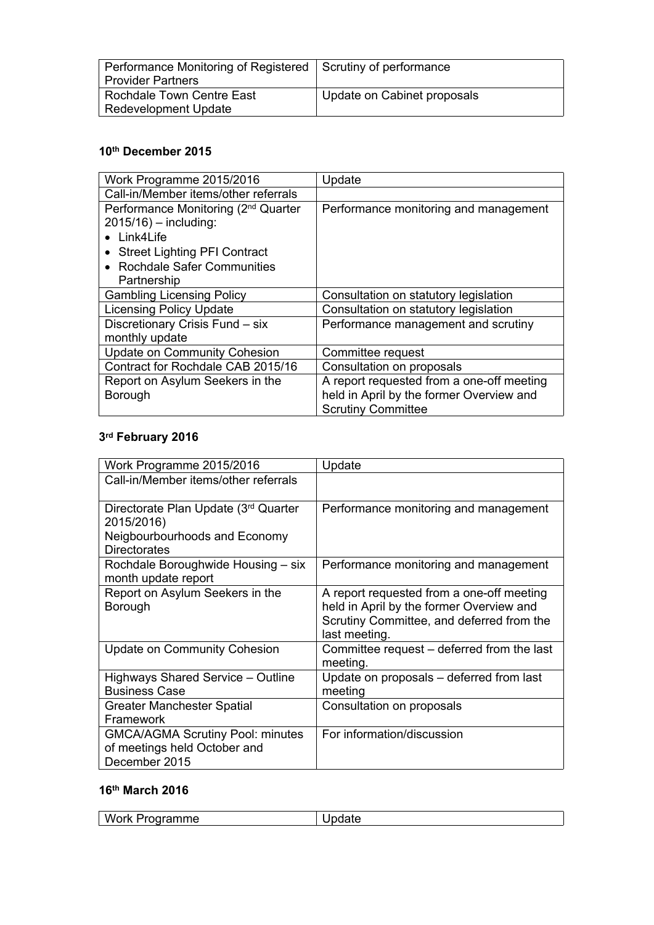| Performance Monitoring of Registered   Scrutiny of performance |                             |
|----------------------------------------------------------------|-----------------------------|
| <b>Provider Partners</b>                                       |                             |
| Rochdale Town Centre East                                      | Update on Cabinet proposals |
| <b>Redevelopment Update</b>                                    |                             |

### **10th December 2015**

| Work Programme 2015/2016                                                                                                                                                         | Update                                                                                                             |
|----------------------------------------------------------------------------------------------------------------------------------------------------------------------------------|--------------------------------------------------------------------------------------------------------------------|
| Call-in/Member items/other referrals                                                                                                                                             |                                                                                                                    |
| Performance Monitoring (2 <sup>nd</sup> Quarter<br>$2015/16$ ) - including:<br>• Link4Life<br><b>Street Lighting PFI Contract</b><br>• Rochdale Safer Communities<br>Partnership | Performance monitoring and management                                                                              |
| <b>Gambling Licensing Policy</b>                                                                                                                                                 | Consultation on statutory legislation                                                                              |
| <b>Licensing Policy Update</b>                                                                                                                                                   | Consultation on statutory legislation                                                                              |
| Discretionary Crisis Fund - six<br>monthly update                                                                                                                                | Performance management and scrutiny                                                                                |
| <b>Update on Community Cohesion</b>                                                                                                                                              | Committee request                                                                                                  |
| Contract for Rochdale CAB 2015/16                                                                                                                                                | Consultation on proposals                                                                                          |
| Report on Asylum Seekers in the<br>Borough                                                                                                                                       | A report requested from a one-off meeting<br>held in April by the former Overview and<br><b>Scrutiny Committee</b> |

### **3 rd February 2016**

| Work Programme 2015/2016                                                                                   | Update                                                                                                                                              |
|------------------------------------------------------------------------------------------------------------|-----------------------------------------------------------------------------------------------------------------------------------------------------|
| Call-in/Member items/other referrals                                                                       |                                                                                                                                                     |
| Directorate Plan Update (3rd Quarter<br>2015/2016)<br>Neigbourbourhoods and Economy<br><b>Directorates</b> | Performance monitoring and management                                                                                                               |
| Rochdale Boroughwide Housing - six<br>month update report                                                  | Performance monitoring and management                                                                                                               |
| Report on Asylum Seekers in the<br>Borough                                                                 | A report requested from a one-off meeting<br>held in April by the former Overview and<br>Scrutiny Committee, and deferred from the<br>last meeting. |
| <b>Update on Community Cohesion</b>                                                                        | Committee request – deferred from the last<br>meeting.                                                                                              |
| Highways Shared Service - Outline<br><b>Business Case</b>                                                  | Update on proposals – deferred from last<br>meeting                                                                                                 |
| Greater Manchester Spatial<br>Framework                                                                    | Consultation on proposals                                                                                                                           |
| <b>GMCA/AGMA Scrutiny Pool: minutes</b><br>of meetings held October and<br>December 2015                   | For information/discussion                                                                                                                          |

## **16th March 2016**